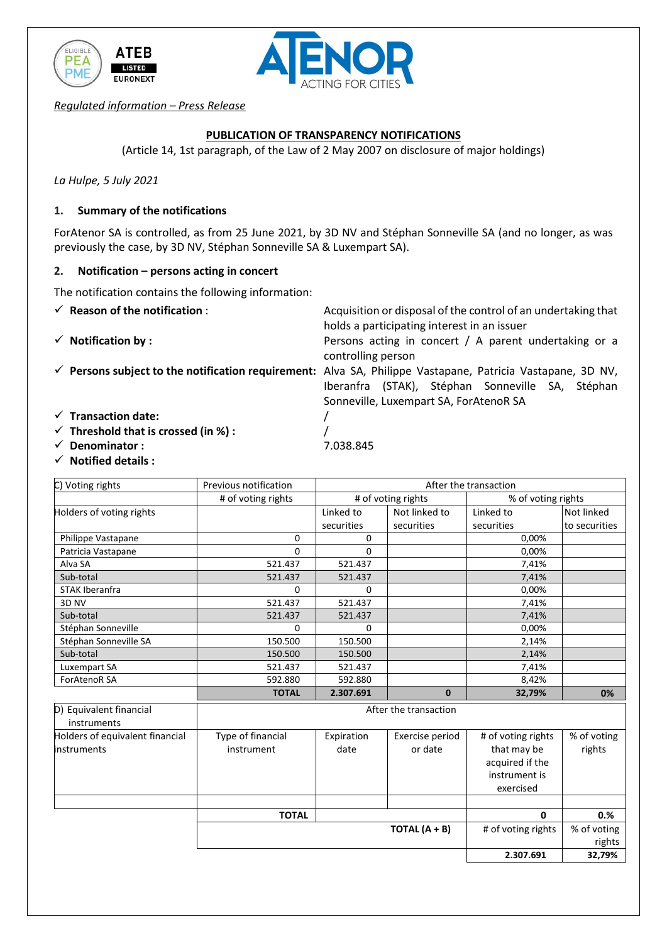



*Regulated information – Press Release*

# **PUBLICATION OF TRANSPARENCY NOTIFICATIONS**

(Article 14, 1st paragraph, of the Law of 2 May 2007 on disclosure of major holdings)

*La Hulpe, 5 July 2021*

### **1. Summary of the notifications**

ForAtenor SA is controlled, as from 25 June 2021, by 3D NV and Stéphan Sonneville SA (and no longer, as was previously the case, by 3D NV, Stéphan Sonneville SA & Luxempart SA).

holds a participating interest in an issuer

Sonneville, Luxempart SA, ForAtenoR SA

Iberanfra (STAK), Stéphan Sonneville SA, Stéphan

#### **2. Notification – persons acting in concert**

The notification contains the following information:

- **Reason of the notification** : Acquisition or disposal of the control of an undertaking that
- **Notification by :** Persons acting in concert / A parent undertaking or a

controlling person **Persons subject to the notification requirement:** Alva SA, Philippe Vastapane, Patricia Vastapane, 3D NV,

- **Transaction date:** /
- **Threshold that is crossed (in %) :** /
- **Denominator :** 7.038.845
- **Notified details :**

| C) Voting rights                                      | Previous notification           | After the transaction |                            |                                                                                    |                       |  |  |
|-------------------------------------------------------|---------------------------------|-----------------------|----------------------------|------------------------------------------------------------------------------------|-----------------------|--|--|
|                                                       | # of voting rights              | # of voting rights    |                            | % of voting rights                                                                 |                       |  |  |
| Holders of voting rights                              |                                 | Linked to             | Not linked to              | Linked to                                                                          | Not linked            |  |  |
|                                                       |                                 | securities            | securities                 | securities                                                                         | to securities         |  |  |
| Philippe Vastapane                                    | $\Omega$                        | $\Omega$              |                            | 0,00%                                                                              |                       |  |  |
| Patricia Vastapane                                    | 0                               | $\Omega$              |                            | 0,00%                                                                              |                       |  |  |
| Alva SA                                               | 521.437                         | 521.437               |                            | 7,41%                                                                              |                       |  |  |
| Sub-total                                             | 521.437                         | 521.437               |                            | 7,41%                                                                              |                       |  |  |
| <b>STAK Iberanfra</b>                                 | 0                               | 0                     |                            | 0,00%                                                                              |                       |  |  |
| 3D NV                                                 | 521.437                         | 521.437               |                            | 7,41%                                                                              |                       |  |  |
| Sub-total                                             | 521.437                         | 521.437               |                            | 7,41%                                                                              |                       |  |  |
| Stéphan Sonneville                                    | <sup>0</sup>                    | $\Omega$              |                            | 0,00%                                                                              |                       |  |  |
| Stéphan Sonneville SA                                 | 150.500                         | 150.500               |                            | 2,14%                                                                              |                       |  |  |
| Sub-total                                             | 150.500                         | 150.500               |                            | 2,14%                                                                              |                       |  |  |
| Luxempart SA                                          | 521.437                         | 521.437               |                            | 7,41%                                                                              |                       |  |  |
| <b>ForAtenoR SA</b>                                   | 592.880                         | 592.880               |                            | 8,42%                                                                              |                       |  |  |
|                                                       | <b>TOTAL</b>                    | 2.307.691             | $\mathbf{0}$               | 32,79%                                                                             | 0%                    |  |  |
| D) Equivalent financial<br>instruments                | After the transaction           |                       |                            |                                                                                    |                       |  |  |
| Holders of equivalent financial<br><b>instruments</b> | Type of financial<br>instrument | Expiration<br>date    | Exercise period<br>or date | # of voting rights<br>that may be<br>acquired if the<br>instrument is<br>exercised | % of voting<br>rights |  |  |
|                                                       |                                 |                       |                            |                                                                                    |                       |  |  |
|                                                       | <b>TOTAL</b>                    |                       |                            | $\mathbf{0}$                                                                       | 0.%                   |  |  |
|                                                       |                                 |                       | TOTAL $(A + B)$            | # of voting rights                                                                 | % of voting           |  |  |
|                                                       |                                 |                       |                            |                                                                                    | rights                |  |  |
|                                                       |                                 |                       |                            | 2.307.691                                                                          | 32,79%                |  |  |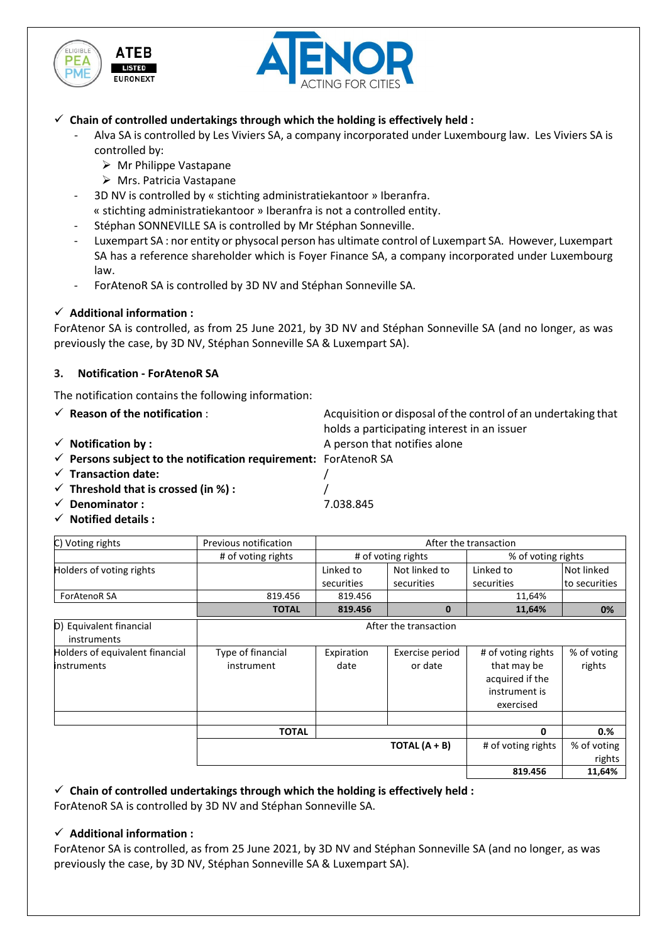



 $\checkmark$  Chain of controlled undertakings through which the holding is effectively held :

- Alva SA is controlled by Les Viviers SA, a company incorporated under Luxembourg law. Les Viviers SA is controlled by:
	- Mr Philippe Vastapane
	- Mrs. Patricia Vastapane
- 3D NV is controlled by « stichting administratiekantoor » Iberanfra. « stichting administratiekantoor » Iberanfra is not a controlled entity.
- Stéphan SONNEVILLE SA is controlled by Mr Stéphan Sonneville.
- Luxempart SA : nor entity or physocal person has ultimate control of Luxempart SA. However, Luxempart SA has a reference shareholder which is Foyer Finance SA, a company incorporated under Luxembourg law.
- ForAtenoR SA is controlled by 3D NV and Stéphan Sonneville SA.

## **Additional information :**

ForAtenor SA is controlled, as from 25 June 2021, by 3D NV and Stéphan Sonneville SA (and no longer, as was previously the case, by 3D NV, Stéphan Sonneville SA & Luxempart SA).

## **3. Notification - ForAtenoR SA**

The notification contains the following information:

- **Reason of the notification** : Acquisition or disposal of the control of an undertaking that
- **Notification by :** A person that notifies alone

holds a participating interest in an issuer **Persons subject to the notification requirement:** ForAtenoR SA

- **Transaction date:** /
- **Threshold that is crossed (in %) :** /
- **Denominator :** 7.038.845
- **Notified details :**

| C) Voting rights                | Previous notification | After the transaction |                    |                    |               |  |  |
|---------------------------------|-----------------------|-----------------------|--------------------|--------------------|---------------|--|--|
|                                 | # of voting rights    |                       | # of voting rights | % of voting rights |               |  |  |
| Holders of voting rights        |                       | Linked to             | Not linked to      | Linked to          | Not linked    |  |  |
|                                 |                       | securities            | securities         | securities         | to securities |  |  |
| <b>ForAtenoR SA</b>             | 819.456               | 819.456               |                    | 11,64%             |               |  |  |
|                                 | <b>TOTAL</b>          | 819.456               | $\bf{0}$           | 11,64%             | 0%            |  |  |
| D) Equivalent financial         | After the transaction |                       |                    |                    |               |  |  |
| instruments                     |                       |                       |                    |                    |               |  |  |
| Holders of equivalent financial | Type of financial     | Expiration            | Exercise period    | # of voting rights | % of voting   |  |  |
| <b>instruments</b>              | instrument            | date                  | or date            | that may be        | rights        |  |  |
|                                 |                       |                       |                    | acquired if the    |               |  |  |
|                                 |                       |                       |                    | instrument is      |               |  |  |
|                                 |                       |                       |                    | exercised          |               |  |  |
|                                 |                       |                       |                    |                    |               |  |  |
|                                 | TOTAL                 |                       |                    | 0                  | 0.%           |  |  |
|                                 |                       |                       | TOTAL $(A + B)$    | # of voting rights | % of voting   |  |  |
|                                 |                       |                       |                    |                    | rights        |  |  |
|                                 |                       |                       |                    | 819.456            | 11,64%        |  |  |

 $\checkmark$  Chain of controlled undertakings through which the holding is effectively held :

ForAtenoR SA is controlled by 3D NV and Stéphan Sonneville SA.

### **Additional information :**

ForAtenor SA is controlled, as from 25 June 2021, by 3D NV and Stéphan Sonneville SA (and no longer, as was previously the case, by 3D NV, Stéphan Sonneville SA & Luxempart SA).